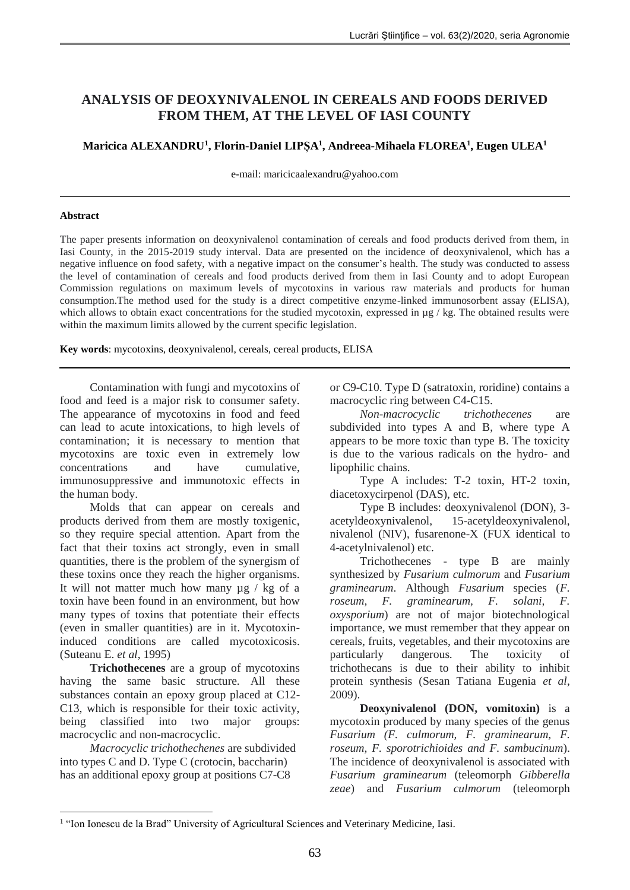# **ANALYSIS OF DEOXYNIVALENOL IN CEREALS AND FOODS DERIVED FROM THEM, AT THE LEVEL OF IASI COUNTY**

# **Maricica ALEXANDRU<sup>1</sup> , Florin-Daniel LIPȘA<sup>1</sup> , Andreea-Mihaela FLOREA<sup>1</sup> , Eugen ULEA<sup>1</sup>**

e-mail: maricicaalexandru@yahoo.com

## **Abstract**

The paper presents information on deoxynivalenol contamination of cereals and food products derived from them, in Iasi County, in the 2015-2019 study interval. Data are presented on the incidence of deoxynivalenol, which has a negative influence on food safety, with a negative impact on the consumer's health. The study was conducted to assess the level of contamination of cereals and food products derived from them in Iasi County and to adopt European Commission regulations on maximum levels of mycotoxins in various raw materials and products for human consumption.The method used for the study is a direct competitive enzyme-linked immunosorbent assay (ELISA), which allows to obtain exact concentrations for the studied mycotoxin, expressed in  $\mu$ g / kg. The obtained results were within the maximum limits allowed by the current specific legislation.

**Key words**: mycotoxins, deoxynivalenol, cereals, cereal products, ELISA

Contamination with fungi and mycotoxins of food and feed is a major risk to consumer safety. The appearance of mycotoxins in food and feed can lead to acute intoxications, to high levels of contamination; it is necessary to mention that mycotoxins are toxic even in extremely low concentrations and have cumulative, immunosuppressive and immunotoxic effects in the human body.

Molds that can appear on cereals and products derived from them are mostly toxigenic, so they require special attention. Apart from the fact that their toxins act strongly, even in small quantities, there is the problem of the synergism of these toxins once they reach the higher organisms. It will not matter much how many  $\mu$ g / kg of a toxin have been found in an environment, but how many types of toxins that potentiate their effects (even in smaller quantities) are in it. Mycotoxininduced conditions are called mycotoxicosis. (Suteanu E. *et al*, 1995)

**Trichothecenes** are a group of mycotoxins having the same basic structure. All these substances contain an epoxy group placed at C12- C13, which is responsible for their toxic activity, being classified into two major groups: macrocyclic and non-macrocyclic.

*Macrocyclic trichothechenes* are subdivided into types C and D. Type C (crotocin, baccharin) has an additional epoxy group at positions C7-C8

1

or C9-C10. Type D (satratoxin, roridine) contains a macrocyclic ring between C4-C15.

*Non-macrocyclic trichothecenes* are subdivided into types A and B, where type A appears to be more toxic than type B. The toxicity is due to the various radicals on the hydro- and lipophilic chains.

Type A includes: T-2 toxin, HT-2 toxin, diacetoxycirpenol (DAS), etc.

Type B includes: deoxynivalenol (DON), 3 acetyldeoxynivalenol, 15-acetyldeoxynivalenol, nivalenol (NIV), fusarenone-X (FUX identical to 4-acetylnivalenol) etc.

Trichothecenes - type B are mainly synthesized by *Fusarium culmorum* and *Fusarium graminearum*. Although *Fusarium* species (*F. roseum, F. graminearum, F. solani, F. oxysporium*) are not of major biotechnological importance, we must remember that they appear on cereals, fruits, vegetables, and their mycotoxins are particularly dangerous. The toxicity of trichothecans is due to their ability to inhibit protein synthesis (Sesan Tatiana Eugenia *et al*, 2009).

**Deoxynivalenol (DON, vomitoxin)** is a mycotoxin produced by many species of the genus *Fusarium (F. culmorum, F. graminearum, F. roseum, F. sporotrichioides and F. sambucinum*). The incidence of deoxynivalenol is associated with *Fusarium graminearum* (teleomorph *Gibberella zeae*) and *Fusarium culmorum* (teleomorph

<sup>&</sup>lt;sup>1</sup> "Ion Ionescu de la Brad" University of Agricultural Sciences and Veterinary Medicine, Iasi.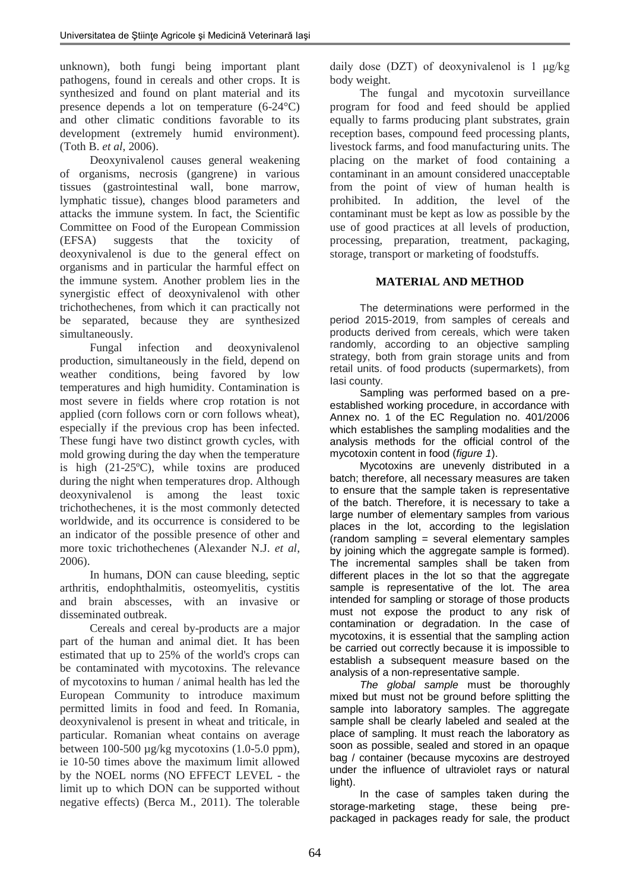unknown), both fungi being important plant pathogens, found in cereals and other crops. It is synthesized and found on plant material and its presence depends a lot on temperature (6-24°C) and other climatic conditions favorable to its development (extremely humid environment). (Toth B. *et al*, 2006).

Deoxynivalenol causes general weakening of organisms, necrosis (gangrene) in various tissues (gastrointestinal wall, bone marrow, lymphatic tissue), changes blood parameters and attacks the immune system. In fact, the Scientific Committee on Food of the European Commission (EFSA) suggests that the toxicity of deoxynivalenol is due to the general effect on organisms and in particular the harmful effect on the immune system. Another problem lies in the synergistic effect of deoxynivalenol with other trichothechenes, from which it can practically not be separated, because they are synthesized simultaneously.

Fungal infection and deoxynivalenol production, simultaneously in the field, depend on weather conditions, being favored by low temperatures and high humidity. Contamination is most severe in fields where crop rotation is not applied (corn follows corn or corn follows wheat), especially if the previous crop has been infected. These fungi have two distinct growth cycles, with mold growing during the day when the temperature is high (21-25ºC), while toxins are produced during the night when temperatures drop. Although deoxynivalenol is among the least toxic trichothechenes, it is the most commonly detected worldwide, and its occurrence is considered to be an indicator of the possible presence of other and more toxic trichothechenes (Alexander N.J. *et al*, 2006).

In humans, DON can cause bleeding, septic arthritis, endophthalmitis, osteomyelitis, cystitis and brain abscesses, with an invasive or disseminated outbreak.

Cereals and cereal by-products are a major part of the human and animal diet. It has been estimated that up to 25% of the world's crops can be contaminated with mycotoxins. The relevance of mycotoxins to human / animal health has led the European Community to introduce maximum permitted limits in food and feed. In Romania, deoxynivalenol is present in wheat and triticale, in particular. Romanian wheat contains on average between 100-500 µg/kg mycotoxins (1.0-5.0 ppm), ie 10-50 times above the maximum limit allowed by the NOEL norms (NO EFFECT LEVEL - the limit up to which DON can be supported without negative effects) (Berca M., 2011). The tolerable daily dose (DZT) of deoxynivalenol is 1 μg/kg body weight.

The fungal and mycotoxin surveillance program for food and feed should be applied equally to farms producing plant substrates, grain reception bases, compound feed processing plants, livestock farms, and food manufacturing units. The placing on the market of food containing a contaminant in an amount considered unacceptable from the point of view of human health is prohibited. In addition, the level of the contaminant must be kept as low as possible by the use of good practices at all levels of production, processing, preparation, treatment, packaging, storage, transport or marketing of foodstuffs.

# **MATERIAL AND METHOD**

The determinations were performed in the period 2015-2019, from samples of cereals and products derived from cereals, which were taken randomly, according to an objective sampling strategy, both from grain storage units and from retail units. of food products (supermarkets), from lasi county.

Sampling was performed based on a preestablished working procedure, in accordance with Annex no. 1 of the EC Regulation no. 401/2006 which establishes the sampling modalities and the analysis methods for the official control of the mycotoxin content in food (*figure 1*).

Mycotoxins are unevenly distributed in a batch; therefore, all necessary measures are taken to ensure that the sample taken is representative of the batch. Therefore, it is necessary to take a large number of elementary samples from various places in the lot, according to the legislation (random sampling = several elementary samples by joining which the aggregate sample is formed). The incremental samples shall be taken from different places in the lot so that the aggregate sample is representative of the lot. The area intended for sampling or storage of those products must not expose the product to any risk of contamination or degradation. In the case of mycotoxins, it is essential that the sampling action be carried out correctly because it is impossible to establish a subsequent measure based on the analysis of a non-representative sample.

*The global sample* must be thoroughly mixed but must not be ground before splitting the sample into laboratory samples. The aggregate sample shall be clearly labeled and sealed at the place of sampling. It must reach the laboratory as soon as possible, sealed and stored in an opaque bag / container (because mycoxins are destroyed under the influence of ultraviolet rays or natural light).

In the case of samples taken during the storage-marketing stage, these being prepackaged in packages ready for sale, the product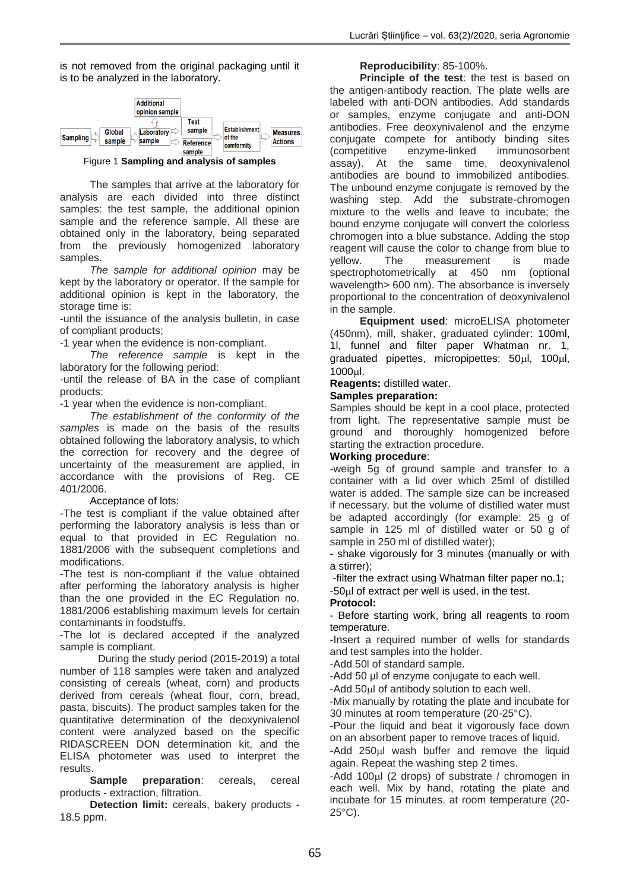is not removed from the original packaging until it is to be analyzed in the laboratory.



Figure 1 **Sampling and analysis of samples**

The samples that arrive at the laboratory for analysis are each divided into three distinct samples: the test sample, the additional opinion sample and the reference sample. All these are obtained only in the laboratory, being separated from the previously homogenized laboratory samples.

*The sample for additional opinion* may be kept by the laboratory or operator. If the sample for additional opinion is kept in the laboratory, the storage time is:

-until the issuance of the analysis bulletin, in case of compliant products;

-1 year when the evidence is non-compliant.

*The reference sample* is kept in the laboratory for the following period:

-until the release of BA in the case of compliant products:

-1 year when the evidence is non-compliant.

*The establishment of the conformity of the samples* is made on the basis of the results obtained following the laboratory analysis, to which the correction for recovery and the degree of uncertainty of the measurement are applied, in accordance with the provisions of Reg. CE 401/2006.

## Acceptance of lots:

-The test is compliant if the value obtained after performing the laboratory analysis is less than or equal to that provided in EC Regulation no. 1881/2006 with the subsequent completions and modifications.

-The test is non-compliant if the value obtained after performing the laboratory analysis is higher than the one provided in the EC Regulation no. 1881/2006 establishing maximum levels for certain contaminants in foodstuffs.

-The lot is declared accepted if the analyzed sample is compliant.

During the study period (2015-2019) a total number of 118 samples were taken and analyzed consisting of cereals (wheat, corn) and products derived from cereals (wheat flour, corn, bread, pasta, biscuits). The product samples taken for the quantitative determination of the deoxynivalenol content were analyzed based on the specific RIDASCREEN DON determination kit, and the ELISA photometer was used to interpret the results.

**Sample preparation**: cereals, cereal products - extraction, filtration.

**Detection limit:** cereals, bakery products - 18.5 ppm.

## **Reproducibility**: 85-100%.

**Principle of the test**: the test is based on the antigen-antibody reaction. The plate wells are labeled with anti-DON antibodies. Add standards or samples, enzyme conjugate and anti-DON antibodies. Free deoxynivalenol and the enzyme conjugate compete for antibody binding sites (competitive enzyme-linked immunosorbent assay). At the same time, deoxynivalenol antibodies are bound to immobilized antibodies. The unbound enzyme conjugate is removed by the washing step. Add the substrate-chromogen mixture to the wells and leave to incubate; the bound enzyme conjugate will convert the colorless chromogen into a blue substance. Adding the stop reagent will cause the color to change from blue to yellow. The measurement is made spectrophotometrically at 450 nm (optional wavelength> 600 nm). The absorbance is inversely proportional to the concentration of deoxynivalenol in the sample.

**Equipment used**: microELISA photometer (450nm), mill, shaker, graduated cylinder: 100ml, 1l, funnel and filter paper Whatman nr. 1, graduated pipettes, micropipettes:  $50\mu$ ,  $100\mu$ , 1000l.

#### **Reagents:** distilled water.

#### **Samples preparation:**

Samples should be kept in a cool place, protected from light. The representative sample must be ground and thoroughly homogenized before starting the extraction procedure.

#### **Working procedure**:

-weigh 5g of ground sample and transfer to a container with a lid over which 25ml of distilled water is added. The sample size can be increased if necessary, but the volume of distilled water must be adapted accordingly (for example: 25 g of sample in 125 ml of distilled water or 50 g of sample in 250 ml of distilled water);

- shake vigorously for 3 minutes (manually or with a stirrer);

-filter the extract using Whatman filter paper no.1;  $-50\mu$  of extract per well is used, in the test.

#### **Protocol:**

- Before starting work, bring all reagents to room temperature.

-Insert a required number of wells for standards and test samples into the holder.

-Add 50l of standard sample.

-Add 50 μl of enzyme conjugate to each well.

-Add 50ul of antibody solution to each well.

-Mix manually by rotating the plate and incubate for 30 minutes at room temperature (20-25°C).

-Pour the liquid and beat it vigorously face down on an absorbent paper to remove traces of liquid.

-Add 250 ul wash buffer and remove the liquid again. Repeat the washing step 2 times.

-Add 100 $\mu$ I (2 drops) of substrate / chromogen in each well. Mix by hand, rotating the plate and incubate for 15 minutes. at room temperature (20-  $25^{\circ}$ C).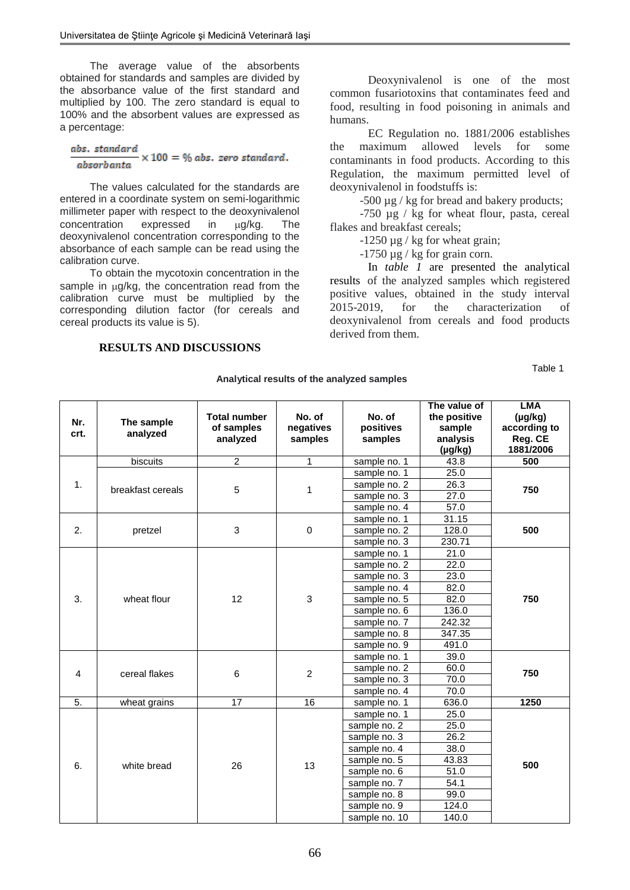The average value of the absorbents obtained for standards and samples are divided by the absorbance value of the first standard and multiplied by 100. The zero standard is equal to 100% and the absorbent values are expressed as a percentage:

#### abs. standard  $\times$  100 = % abs. zero standard. absorbanta

The values calculated for the standards are entered in a coordinate system on semi-logarithmic millimeter paper with respect to the deoxynivalenol concentration expressed in  $\mu$ g/kg. The deoxynivalenol concentration corresponding to the absorbance of each sample can be read using the calibration curve.

To obtain the mycotoxin concentration in the sample in  $\mu q/kg$ , the concentration read from the calibration curve must be multiplied by the corresponding dilution factor (for cereals and cereal products its value is 5).

#### **RESULTS AND DISCUSSIONS**

Deoxynivalenol is one of the most common fusariotoxins that contaminates feed and food, resulting in food poisoning in animals and humans.

EC Regulation no. 1881/2006 establishes<br>naximum allowed levels for some the maximum allowed levels for some contaminants in food products. According to this Regulation, the maximum permitted level of deoxynivalenol in foodstuffs is:

-500 µg / kg for bread and bakery products;

-750 µg / kg for wheat flour, pasta, cereal flakes and breakfast cereals;

-1250 µg / kg for wheat grain;

 $-1750 \mu$ g / kg for grain corn.

In *table 1* are presented the analytical results of the analyzed samples which registered positive values, obtained in the study interval 2015-2019, for the characterization of deoxynivalenol from cereals and food products derived from them.

Table 1

| Nr.<br>crt. | The sample<br>analyzed | <b>Total number</b><br>of samples<br>analyzed | No. of<br>negatives<br>samples | No. of<br>positives<br>samples | The value of<br>the positive<br>sample<br>analysis<br>$(\mu g/kg)$ | LMA<br>$(\mu g/kg)$<br>according to<br>Reg. CE<br>1881/2006 |
|-------------|------------------------|-----------------------------------------------|--------------------------------|--------------------------------|--------------------------------------------------------------------|-------------------------------------------------------------|
| 1.          | biscuits               | $\overline{2}$                                | 1                              | sample no. 1                   | 43.8                                                               | 500                                                         |
|             | breakfast cereals      | 5                                             | 1                              | sample no. 1                   | 25.0                                                               | 750                                                         |
|             |                        |                                               |                                | sample no. 2                   | 26.3                                                               |                                                             |
|             |                        |                                               |                                | sample no. 3                   | 27.0                                                               |                                                             |
|             |                        |                                               |                                | sample no. 4                   | 57.0                                                               |                                                             |
| 2.          | pretzel                | 3                                             | $\mathbf 0$                    | sample no. 1                   | 31.15                                                              | 500                                                         |
|             |                        |                                               |                                | sample no. 2                   | 128.0                                                              |                                                             |
|             |                        |                                               |                                | sample no. 3                   | 230.71                                                             |                                                             |
|             | wheat flour            | 12                                            | 3                              | sample no. 1                   | 21.0                                                               | 750                                                         |
|             |                        |                                               |                                | sample no. 2                   | 22.0                                                               |                                                             |
| 3.          |                        |                                               |                                | sample no. 3                   | 23.0                                                               |                                                             |
|             |                        |                                               |                                | sample no. 4                   | 82.0                                                               |                                                             |
|             |                        |                                               |                                | sample no. 5                   | 82.0                                                               |                                                             |
|             |                        |                                               |                                | sample no. 6                   | 136.0                                                              |                                                             |
|             |                        |                                               |                                | sample no. 7                   | 242.32                                                             |                                                             |
|             |                        |                                               |                                | sample no. 8                   | 347.35                                                             |                                                             |
|             |                        |                                               |                                | sample no. 9                   | 491.0                                                              |                                                             |
|             | cereal flakes          | 6                                             | 2                              | sample no. 1                   | 39.0                                                               | 750                                                         |
| 4           |                        |                                               |                                | sample no. 2                   | 60.0                                                               |                                                             |
|             |                        |                                               |                                | sample no. 3                   | 70.0                                                               |                                                             |
|             |                        |                                               |                                | sample no. 4                   | 70.0                                                               |                                                             |
| 5.          | wheat grains           | 17                                            | 16                             | sample no. 1                   | 636.0                                                              | 1250                                                        |
| 6.          | white bread            | 26                                            | 13                             | sample no. 1                   | 25.0                                                               | 500                                                         |
|             |                        |                                               |                                | sample no. 2                   | 25.0                                                               |                                                             |
|             |                        |                                               |                                | sample no. 3                   | 26.2                                                               |                                                             |
|             |                        |                                               |                                | sample no. 4                   | 38.0                                                               |                                                             |
|             |                        |                                               |                                | sample no. 5                   | 43.83                                                              |                                                             |
|             |                        |                                               |                                | sample no. 6                   | 51.0                                                               |                                                             |
|             |                        |                                               |                                | sample no. 7                   | 54.1                                                               |                                                             |
|             |                        |                                               |                                | sample no. 8                   | 99.0                                                               |                                                             |
|             |                        |                                               |                                | sample no. 9                   | 124.0                                                              |                                                             |
|             |                        |                                               |                                | sample no. 10                  | 140.0                                                              |                                                             |

**Analytical results of the analyzed samples**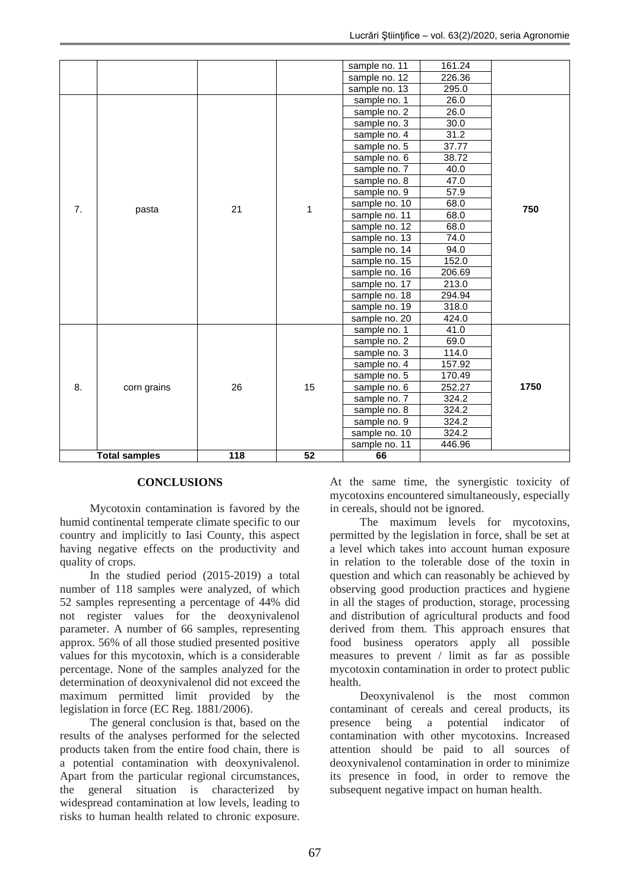|                      |             |     |                 | sample no. 11 | 161.24 |      |
|----------------------|-------------|-----|-----------------|---------------|--------|------|
|                      |             |     |                 | sample no. 12 | 226.36 |      |
|                      | pasta       |     | 1               | sample no. 13 | 295.0  | 750  |
|                      |             |     |                 | sample no. 1  | 26.0   |      |
|                      |             |     |                 | sample no. 2  | 26.0   |      |
|                      |             |     |                 | sample no. 3  | 30.0   |      |
|                      |             |     |                 | sample no. 4  | 31.2   |      |
|                      |             |     |                 | sample no. 5  | 37.77  |      |
|                      |             |     |                 | sample no. 6  | 38.72  |      |
|                      |             |     |                 | sample no. 7  | 40.0   |      |
|                      |             |     |                 | sample no. 8  | 47.0   |      |
|                      |             |     |                 | sample no. 9  | 57.9   |      |
| 7.                   |             |     |                 | sample no. 10 | 68.0   |      |
|                      |             | 21  |                 | sample no. 11 | 68.0   |      |
|                      |             |     |                 | sample no. 12 | 68.0   |      |
|                      |             |     |                 | sample no. 13 | 74.0   |      |
|                      |             |     |                 | sample no. 14 | 94.0   |      |
|                      |             |     |                 | sample no. 15 | 152.0  |      |
|                      |             |     |                 | sample no. 16 | 206.69 |      |
|                      |             |     |                 | sample no. 17 | 213.0  |      |
|                      |             |     |                 | sample no. 18 | 294.94 |      |
|                      |             |     |                 | sample no. 19 | 318.0  |      |
|                      | corn grains | 26  | 15              | sample no. 20 | 424.0  | 1750 |
|                      |             |     |                 | sample no. 1  | 41.0   |      |
|                      |             |     |                 | sample no. 2  | 69.0   |      |
|                      |             |     |                 | sample no. 3  | 114.0  |      |
|                      |             |     |                 | sample no. 4  | 157.92 |      |
|                      |             |     |                 | sample no. 5  | 170.49 |      |
| 8.                   |             |     |                 | sample no. 6  | 252.27 |      |
|                      |             |     |                 | sample no. 7  | 324.2  |      |
|                      |             |     |                 | sample no. 8  | 324.2  |      |
|                      |             |     |                 | sample no. 9  | 324.2  |      |
|                      |             |     |                 | sample no. 10 | 324.2  |      |
|                      |             |     |                 | sample no. 11 | 446.96 |      |
| <b>Total samples</b> |             | 118 | $\overline{52}$ | 66            |        |      |

## **CONCLUSIONS**

Mycotoxin contamination is favored by the humid continental temperate climate specific to our country and implicitly to Iasi County, this aspect having negative effects on the productivity and quality of crops.

In the studied period (2015-2019) a total number of 118 samples were analyzed, of which 52 samples representing a percentage of 44% did not register values for the deoxynivalenol parameter. A number of 66 samples, representing approx. 56% of all those studied presented positive values for this mycotoxin, which is a considerable percentage. None of the samples analyzed for the determination of deoxynivalenol did not exceed the maximum permitted limit provided by the legislation in force (EC Reg. 1881/2006).

The general conclusion is that, based on the results of the analyses performed for the selected products taken from the entire food chain, there is a potential contamination with deoxynivalenol. Apart from the particular regional circumstances, the general situation is characterized by widespread contamination at low levels, leading to risks to human health related to chronic exposure. At the same time, the synergistic toxicity of mycotoxins encountered simultaneously, especially in cereals, should not be ignored.

The maximum levels for mycotoxins, permitted by the legislation in force, shall be set at a level which takes into account human exposure in relation to the tolerable dose of the toxin in question and which can reasonably be achieved by observing good production practices and hygiene in all the stages of production, storage, processing and distribution of agricultural products and food derived from them. This approach ensures that food business operators apply all possible measures to prevent / limit as far as possible mycotoxin contamination in order to protect public health.

Deoxynivalenol is the most common contaminant of cereals and cereal products, its presence being a potential indicator of contamination with other mycotoxins. Increased attention should be paid to all sources of deoxynivalenol contamination in order to minimize its presence in food, in order to remove the subsequent negative impact on human health.